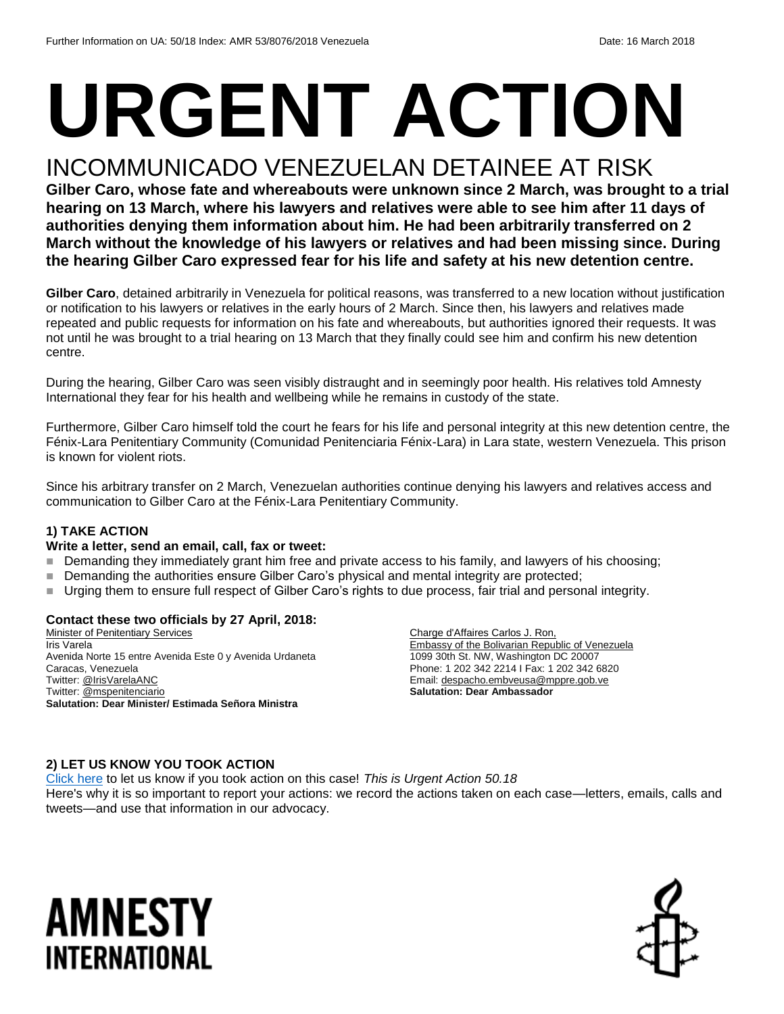# **URGENT ACTION**

## INCOMMUNICADO VENEZUELAN DETAINEE AT RISK

**Gilber Caro, whose fate and whereabouts were unknown since 2 March, was brought to a trial hearing on 13 March, where his lawyers and relatives were able to see him after 11 days of authorities denying them information about him. He had been arbitrarily transferred on 2 March without the knowledge of his lawyers or relatives and had been missing since. During the hearing Gilber Caro expressed fear for his life and safety at his new detention centre.**

**Gilber Caro**, detained arbitrarily in Venezuela for political reasons, was transferred to a new location without justification or notification to his lawyers or relatives in the early hours of 2 March. Since then, his lawyers and relatives made repeated and public requests for information on his fate and whereabouts, but authorities ignored their requests. It was not until he was brought to a trial hearing on 13 March that they finally could see him and confirm his new detention centre.

During the hearing, Gilber Caro was seen visibly distraught and in seemingly poor health. His relatives told Amnesty International they fear for his health and wellbeing while he remains in custody of the state.

Furthermore, Gilber Caro himself told the court he fears for his life and personal integrity at this new detention centre, the Fénix-Lara Penitentiary Community (Comunidad Penitenciaria Fénix-Lara) in Lara state, western Venezuela. This prison is known for violent riots.

Since his arbitrary transfer on 2 March, Venezuelan authorities continue denying his lawyers and relatives access and communication to Gilber Caro at the Fénix-Lara Penitentiary Community.

#### **1) TAKE ACTION**

#### **Write a letter, send an email, call, fax or tweet:**

- Demanding they immediately grant him free and private access to his family, and lawyers of his choosing;
- Demanding the authorities ensure Gilber Caro's physical and mental integrity are protected;
- Urging them to ensure full respect of Gilber Caro's rights to due process, fair trial and personal integrity.

#### **Contact these two officials by 27 April, 2018:**

Minister of Penitentiary Services Iris Varela Avenida Norte 15 entre Avenida Este 0 y Avenida Urdaneta Caracas, Venezuela Twitter[: @IrisVarelaANC](https://twitter.com/irisvarelaanc?lang=en) Twitter[: @mspenitenciario](https://twitter.com/mspenitenciario?lang=en) **Salutation: Dear Minister/ Estimada Señora Ministra**

Charge d'Affaires Carlos J. Ron, Embassy of the Bolivarian Republic of Venezuela 1099 30th St. NW, Washington DC 20007 Phone: 1 202 342 2214 I Fax: 1 202 342 6820 Email[: despacho.embveusa@mppre.gob.ve](mailto:despacho.embveusa@mppre.gob.ve) **Salutation: Dear Ambassador**

#### **2) LET US KNOW YOU TOOK ACTION**

[Click here](https://www.amnestyusa.org/report-urgent-actions/) to let us know if you took action on this case! *This is Urgent Action 50.18* Here's why it is so important to report your actions: we record the actions taken on each case—letters, emails, calls and tweets—and use that information in our advocacy.

## AMNESTY INTERNATIONAL